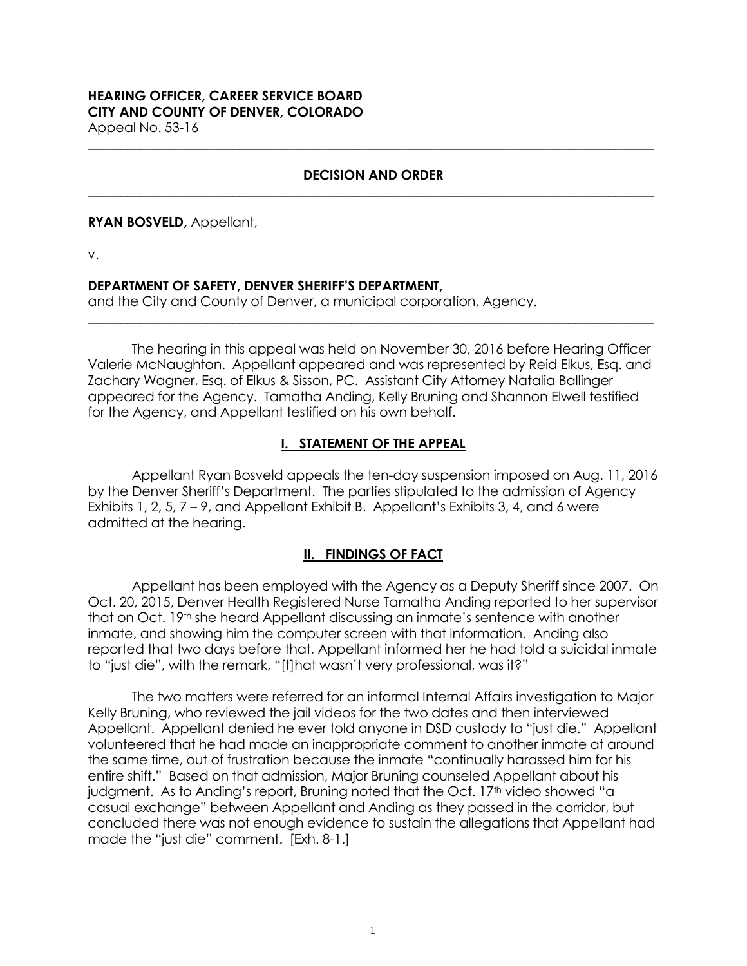# **HEARING OFFICER, CAREER SERVICE BOARD CITY AND COUNTY OF DENVER, COLORADO**

Appeal No. 53-16 **\_\_\_\_\_\_\_\_\_\_\_\_\_\_\_\_\_\_\_\_\_\_\_\_\_\_\_\_\_\_\_\_\_\_\_\_\_\_\_\_\_\_\_\_\_\_\_\_\_\_\_\_\_\_\_\_\_\_\_\_\_\_\_\_\_\_\_\_\_\_\_\_\_\_\_\_\_\_\_\_\_\_\_\_\_\_**

#### **DECISION AND ORDER \_\_\_\_\_\_\_\_\_\_\_\_\_\_\_\_\_\_\_\_\_\_\_\_\_\_\_\_\_\_\_\_\_\_\_\_\_\_\_\_\_\_\_\_\_\_\_\_\_\_\_\_\_\_\_\_\_\_\_\_\_\_\_\_\_\_\_\_\_\_\_\_\_\_\_\_\_\_\_\_\_\_\_\_\_\_**

#### **RYAN BOSVELD,** Appellant,

v.

## **DEPARTMENT OF SAFETY, DENVER SHERIFF'S DEPARTMENT,**

and the City and County of Denver, a municipal corporation, Agency.

The hearing in this appeal was held on November 30, 2016 before Hearing Officer Valerie McNaughton. Appellant appeared and was represented by Reid Elkus, Esq. and Zachary Wagner, Esq. of Elkus & Sisson, PC. Assistant City Attorney Natalia Ballinger appeared for the Agency. Tamatha Anding, Kelly Bruning and Shannon Elwell testified for the Agency, and Appellant testified on his own behalf.

**\_\_\_\_\_\_\_\_\_\_\_\_\_\_\_\_\_\_\_\_\_\_\_\_\_\_\_\_\_\_\_\_\_\_\_\_\_\_\_\_\_\_\_\_\_\_\_\_\_\_\_\_\_\_\_\_\_\_\_\_\_\_\_\_\_\_\_\_\_\_\_\_\_\_\_\_\_\_\_\_\_\_\_\_\_\_**

# **I. STATEMENT OF THE APPEAL**

Appellant Ryan Bosveld appeals the ten-day suspension imposed on Aug. 11, 2016 by the Denver Sheriff's Department. The parties stipulated to the admission of Agency Exhibits 1, 2, 5,  $7 - 9$ , and Appellant Exhibit B. Appellant's Exhibits 3, 4, and 6 were admitted at the hearing.

# **II. FINDINGS OF FACT**

Appellant has been employed with the Agency as a Deputy Sheriff since 2007. On Oct. 20, 2015, Denver Health Registered Nurse Tamatha Anding reported to her supervisor that on Oct. 19<sup>th</sup> she heard Appellant discussing an inmate's sentence with another inmate, and showing him the computer screen with that information. Anding also reported that two days before that, Appellant informed her he had told a suicidal inmate to "just die", with the remark, "[t]hat wasn't very professional, was it?"

The two matters were referred for an informal Internal Affairs investigation to Major Kelly Bruning, who reviewed the jail videos for the two dates and then interviewed Appellant. Appellant denied he ever told anyone in DSD custody to "just die." Appellant volunteered that he had made an inappropriate comment to another inmate at around the same time, out of frustration because the inmate "continually harassed him for his entire shift." Based on that admission, Major Bruning counseled Appellant about his judgment. As to Anding's report, Bruning noted that the Oct. 17<sup>th</sup> video showed "a casual exchange" between Appellant and Anding as they passed in the corridor, but concluded there was not enough evidence to sustain the allegations that Appellant had made the "just die" comment. [Exh. 8-1.]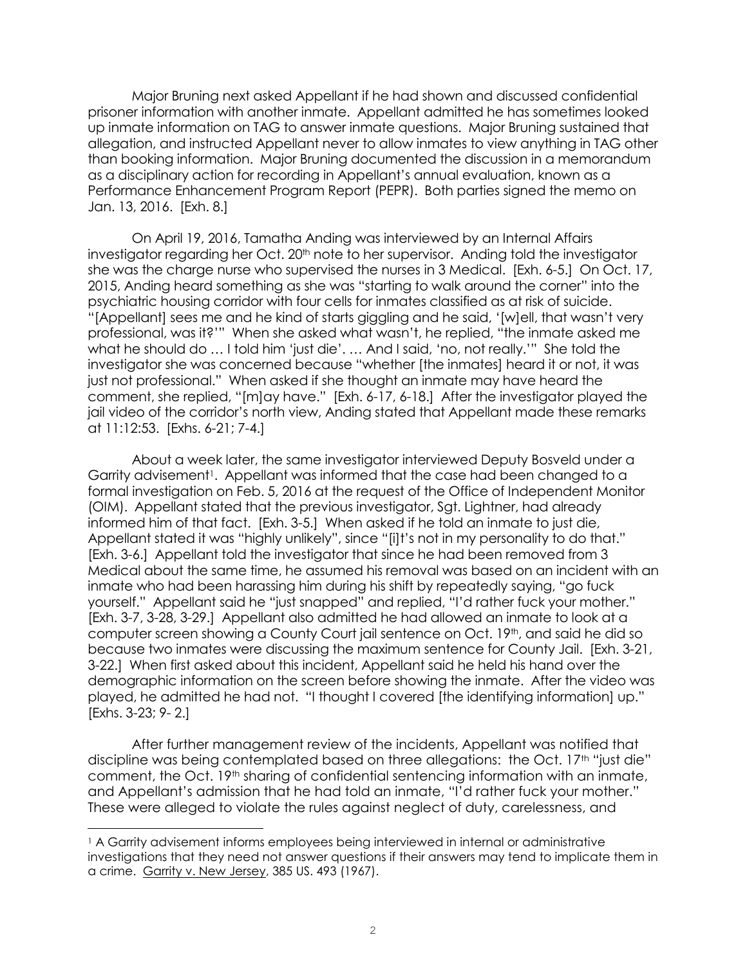Major Bruning next asked Appellant if he had shown and discussed confidential prisoner information with another inmate. Appellant admitted he has sometimes looked up inmate information on TAG to answer inmate questions. Major Bruning sustained that allegation, and instructed Appellant never to allow inmates to view anything in TAG other than booking information. Major Bruning documented the discussion in a memorandum as a disciplinary action for recording in Appellant's annual evaluation, known as a Performance Enhancement Program Report (PEPR). Both parties signed the memo on Jan. 13, 2016. [Exh. 8.]

On April 19, 2016, Tamatha Anding was interviewed by an Internal Affairs investigator regarding her Oct. 20<sup>th</sup> note to her supervisor. Anding told the investigator she was the charge nurse who supervised the nurses in 3 Medical. [Exh. 6-5.] On Oct. 17, 2015, Anding heard something as she was "starting to walk around the corner" into the psychiatric housing corridor with four cells for inmates classified as at risk of suicide. "[Appellant] sees me and he kind of starts giggling and he said, '[w]ell, that wasn't very professional, was it?'" When she asked what wasn't, he replied, "the inmate asked me what he should do ... I told him 'just die'. ... And I said, 'no, not really.'" She told the investigator she was concerned because "whether [the inmates] heard it or not, it was just not professional." When asked if she thought an inmate may have heard the comment, she replied, "[m]ay have." [Exh. 6-17, 6-18.] After the investigator played the jail video of the corridor's north view, Anding stated that Appellant made these remarks at 11:12:53. [Exhs. 6-21; 7-4.]

About a week later, the same investigator interviewed Deputy Bosveld under a Garrity advisement<sup>1</sup>. Appellant was informed that the case had been changed to a formal investigation on Feb. 5, 2016 at the request of the Office of Independent Monitor (OIM). Appellant stated that the previous investigator, Sgt. Lightner, had already informed him of that fact. [Exh. 3-5.] When asked if he told an inmate to just die, Appellant stated it was "highly unlikely", since "[i]t's not in my personality to do that." [Exh. 3-6.] Appellant told the investigator that since he had been removed from 3 Medical about the same time, he assumed his removal was based on an incident with an inmate who had been harassing him during his shift by repeatedly saying, "go fuck yourself." Appellant said he "just snapped" and replied, "I'd rather fuck your mother." [Exh. 3-7, 3-28, 3-29.] Appellant also admitted he had allowed an inmate to look at a computer screen showing a County Court jail sentence on Oct. 19<sup>th</sup>, and said he did so because two inmates were discussing the maximum sentence for County Jail. [Exh. 3-21, 3-22.] When first asked about this incident, Appellant said he held his hand over the demographic information on the screen before showing the inmate. After the video was played, he admitted he had not. "I thought I covered [the identifying information] up." [Exhs. 3-23; 9- 2.]

After further management review of the incidents, Appellant was notified that discipline was being contemplated based on three allegations: the Oct. 17<sup>th</sup> "just die" comment, the Oct. 19<sup>th</sup> sharing of confidential sentencing information with an inmate, and Appellant's admission that he had told an inmate, "I'd rather fuck your mother." These were alleged to violate the rules against neglect of duty, carelessness, and

÷.

<sup>1</sup> A Garrity advisement informs employees being interviewed in internal or administrative investigations that they need not answer questions if their answers may tend to implicate them in a crime. Garrity v. New Jersey, 385 US. 493 (1967).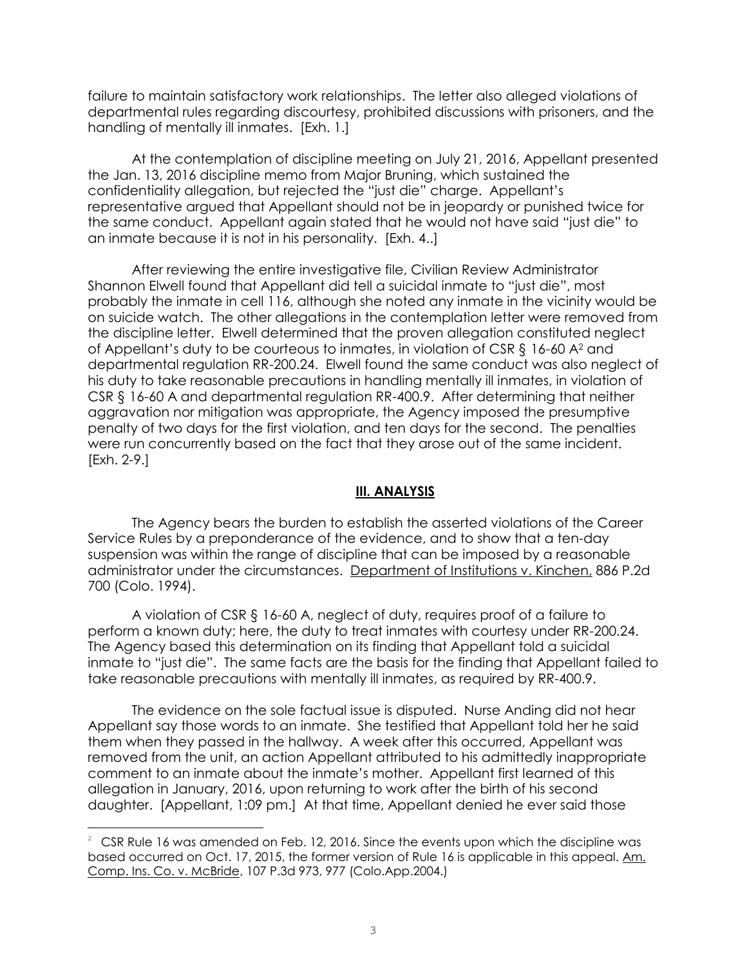failure to maintain satisfactory work relationships. The letter also alleged violations of departmental rules regarding discourtesy, prohibited discussions with prisoners, and the handling of mentally ill inmates. [Exh. 1.]

At the contemplation of discipline meeting on July 21, 2016, Appellant presented the Jan. 13, 2016 discipline memo from Major Bruning, which sustained the confidentiality allegation, but rejected the "just die" charge. Appellant's representative argued that Appellant should not be in jeopardy or punished twice for the same conduct. Appellant again stated that he would not have said "just die" to an inmate because it is not in his personality. [Exh. 4..]

After reviewing the entire investigative file, Civilian Review Administrator Shannon Elwell found that Appellant did tell a suicidal inmate to "just die", most probably the inmate in cell 116, although she noted any inmate in the vicinity would be on suicide watch. The other allegations in the contemplation letter were removed from the discipline letter. Elwell determined that the proven allegation constituted neglect of Appellant's duty to be courteous to inmates, in violation of CSR § 16-60 A<sup>2</sup> and departmental regulation RR-200.24. Elwell found the same conduct was also neglect of his duty to take reasonable precautions in handling mentally ill inmates, in violation of CSR § 16-60 A and departmental regulation RR-400.9. After determining that neither aggravation nor mitigation was appropriate, the Agency imposed the presumptive penalty of two days for the first violation, and ten days for the second. The penalties were run concurrently based on the fact that they arose out of the same incident. [Exh. 2-9.]

## **III. ANALYSIS**

The Agency bears the burden to establish the asserted violations of the Career Service Rules by a preponderance of the evidence, and to show that a ten-day suspension was within the range of discipline that can be imposed by a reasonable administrator under the circumstances. Department of Institutions v. Kinchen, 886 P.2d 700 (Colo. 1994).

A violation of CSR § 16-60 A, neglect of duty, requires proof of a failure to perform a known duty; here, the duty to treat inmates with courtesy under RR-200.24. The Agency based this determination on its finding that Appellant told a suicidal inmate to "just die". The same facts are the basis for the finding that Appellant failed to take reasonable precautions with mentally ill inmates, as required by RR-400.9.

The evidence on the sole factual issue is disputed. Nurse Anding did not hear Appellant say those words to an inmate. She testified that Appellant told her he said them when they passed in the hallway. A week after this occurred, Appellant was removed from the unit, an action Appellant attributed to his admittedly inappropriate comment to an inmate about the inmate's mother. Appellant first learned of this allegation in January, 2016, upon returning to work after the birth of his second daughter. [Appellant, 1:09 pm.] At that time, Appellant denied he ever said those

÷.

 $2 \text{ CSR Rule 16}$  was amended on Feb. 12, 2016. Since the events upon which the discipline was based occurred on Oct. 17, 2015, the former version of Rule 16 is applicable in this appeal. Am. Comp. Ins. Co. v. McBride, 107 P.3d 973, 977 (Colo.App.2004.)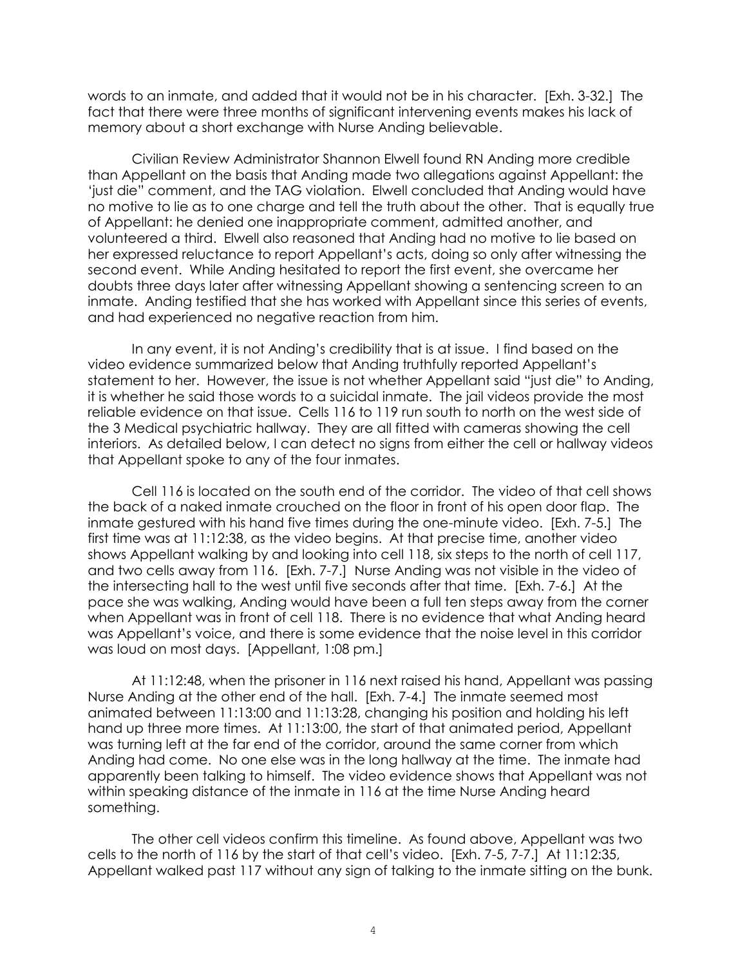words to an inmate, and added that it would not be in his character. [Exh. 3-32.] The fact that there were three months of significant intervening events makes his lack of memory about a short exchange with Nurse Anding believable.

Civilian Review Administrator Shannon Elwell found RN Anding more credible than Appellant on the basis that Anding made two allegations against Appellant: the 'just die" comment, and the TAG violation. Elwell concluded that Anding would have no motive to lie as to one charge and tell the truth about the other. That is equally true of Appellant: he denied one inappropriate comment, admitted another, and volunteered a third. Elwell also reasoned that Anding had no motive to lie based on her expressed reluctance to report Appellant's acts, doing so only after witnessing the second event. While Anding hesitated to report the first event, she overcame her doubts three days later after witnessing Appellant showing a sentencing screen to an inmate. Anding testified that she has worked with Appellant since this series of events, and had experienced no negative reaction from him.

In any event, it is not Anding's credibility that is at issue. I find based on the video evidence summarized below that Anding truthfully reported Appellant's statement to her. However, the issue is not whether Appellant said "just die" to Anding, it is whether he said those words to a suicidal inmate. The jail videos provide the most reliable evidence on that issue. Cells 116 to 119 run south to north on the west side of the 3 Medical psychiatric hallway. They are all fitted with cameras showing the cell interiors. As detailed below, I can detect no signs from either the cell or hallway videos that Appellant spoke to any of the four inmates.

Cell 116 is located on the south end of the corridor. The video of that cell shows the back of a naked inmate crouched on the floor in front of his open door flap. The inmate gestured with his hand five times during the one-minute video. [Exh. 7-5.] The first time was at 11:12:38, as the video begins. At that precise time, another video shows Appellant walking by and looking into cell 118, six steps to the north of cell 117, and two cells away from 116. [Exh. 7-7.] Nurse Anding was not visible in the video of the intersecting hall to the west until five seconds after that time. [Exh. 7-6.] At the pace she was walking, Anding would have been a full ten steps away from the corner when Appellant was in front of cell 118. There is no evidence that what Anding heard was Appellant's voice, and there is some evidence that the noise level in this corridor was loud on most days. [Appellant, 1:08 pm.]

At 11:12:48, when the prisoner in 116 next raised his hand, Appellant was passing Nurse Anding at the other end of the hall. [Exh. 7-4.] The inmate seemed most animated between 11:13:00 and 11:13:28, changing his position and holding his left hand up three more times. At 11:13:00, the start of that animated period, Appellant was turning left at the far end of the corridor, around the same corner from which Anding had come. No one else was in the long hallway at the time. The inmate had apparently been talking to himself. The video evidence shows that Appellant was not within speaking distance of the inmate in 116 at the time Nurse Anding heard something.

The other cell videos confirm this timeline. As found above, Appellant was two cells to the north of 116 by the start of that cell's video. [Exh. 7-5, 7-7.] At 11:12:35, Appellant walked past 117 without any sign of talking to the inmate sitting on the bunk.